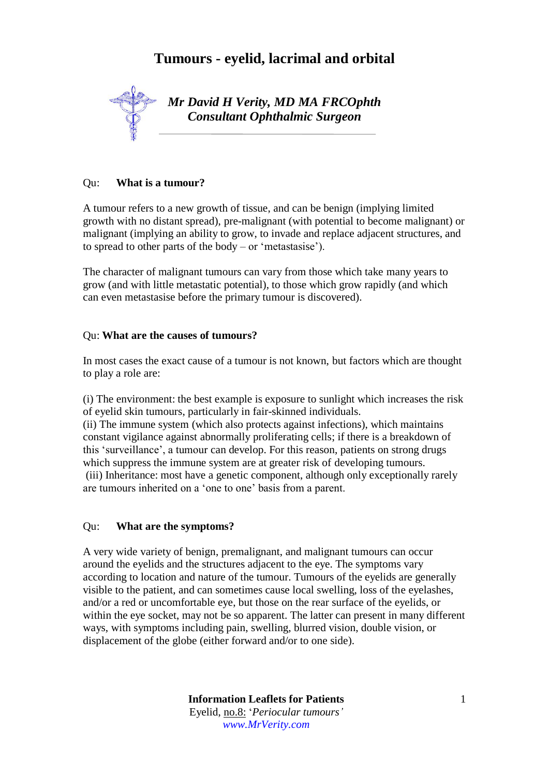# **Tumours - eyelid, lacrimal and orbital**



*Mr David H Verity, MD MA FRCOphth Consultant Ophthalmic Surgeon*

#### Qu: **What is a tumour?**

A tumour refers to a new growth of tissue, and can be benign (implying limited growth with no distant spread), pre-malignant (with potential to become malignant) or malignant (implying an ability to grow, to invade and replace adjacent structures, and to spread to other parts of the body – or 'metastasise').

The character of malignant tumours can vary from those which take many years to grow (and with little metastatic potential), to those which grow rapidly (and which can even metastasise before the primary tumour is discovered).

#### Qu: **What are the causes of tumours?**

In most cases the exact cause of a tumour is not known, but factors which are thought to play a role are:

(i) The environment: the best example is exposure to sunlight which increases the risk of eyelid skin tumours, particularly in fair-skinned individuals.

(ii) The immune system (which also protects against infections), which maintains constant vigilance against abnormally proliferating cells; if there is a breakdown of this 'surveillance', a tumour can develop. For this reason, patients on strong drugs which suppress the immune system are at greater risk of developing tumours. (iii) Inheritance: most have a genetic component, although only exceptionally rarely are tumours inherited on a 'one to one' basis from a parent.

#### Qu: **What are the symptoms?**

A very wide variety of benign, premalignant, and malignant tumours can occur around the eyelids and the structures adjacent to the eye. The symptoms vary according to location and nature of the tumour. Tumours of the eyelids are generally visible to the patient, and can sometimes cause local swelling, loss of the eyelashes, and/or a red or uncomfortable eye, but those on the rear surface of the eyelids, or within the eye socket, may not be so apparent. The latter can present in many different ways, with symptoms including pain, swelling, blurred vision, double vision, or displacement of the globe (either forward and/or to one side).

> **Information Leaflets for Patients** Eyelid, no.8: '*Periocular tumours' www.MrVerity.com*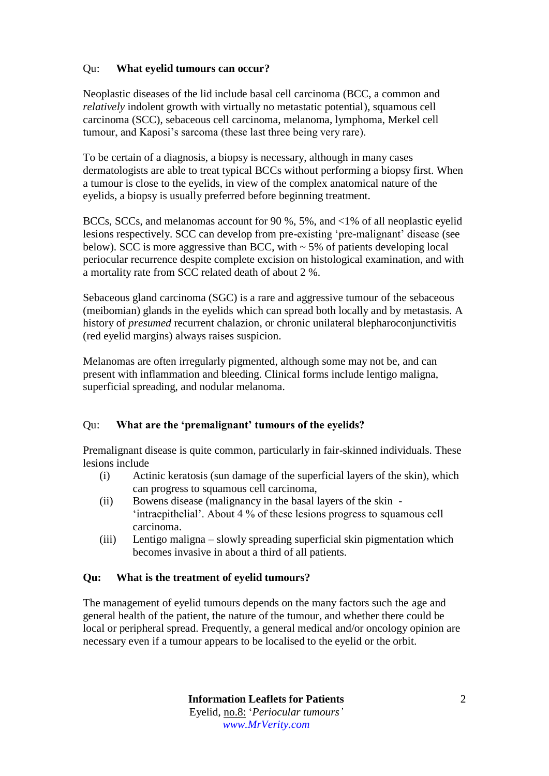## Qu: **What eyelid tumours can occur?**

Neoplastic diseases of the lid include basal cell carcinoma (BCC, a common and *relatively* indolent growth with virtually no metastatic potential), squamous cell carcinoma (SCC), sebaceous cell carcinoma, melanoma, lymphoma, Merkel cell tumour, and Kaposi's sarcoma (these last three being very rare).

To be certain of a diagnosis, a biopsy is necessary, although in many cases dermatologists are able to treat typical BCCs without performing a biopsy first. When a tumour is close to the eyelids, in view of the complex anatomical nature of the eyelids, a biopsy is usually preferred before beginning treatment.

BCCs, SCCs, and melanomas account for 90 %, 5%, and <1% of all neoplastic eyelid lesions respectively. SCC can develop from pre-existing 'pre-malignant' disease (see below). SCC is more aggressive than BCC, with  $\sim$  5% of patients developing local periocular recurrence despite complete excision on histological examination, and with a mortality rate from SCC related death of about 2 %.

Sebaceous gland carcinoma (SGC) is a rare and aggressive tumour of the sebaceous (meibomian) glands in the eyelids which can spread both locally and by metastasis. A history of *presumed* recurrent chalazion, or chronic unilateral blepharoconjunctivitis (red eyelid margins) always raises suspicion.

Melanomas are often irregularly pigmented, although some may not be, and can present with inflammation and bleeding. Clinical forms include lentigo maligna, superficial spreading, and nodular melanoma.

## Qu: **What are the 'premalignant' tumours of the eyelids?**

Premalignant disease is quite common, particularly in fair-skinned individuals. These lesions include

- (i) Actinic keratosis (sun damage of the superficial layers of the skin), which can progress to squamous cell carcinoma,
- (ii) Bowens disease (malignancy in the basal layers of the skin 'intraepithelial'. About 4 % of these lesions progress to squamous cell carcinoma.
- (iii) Lentigo maligna slowly spreading superficial skin pigmentation which becomes invasive in about a third of all patients.

## **Qu: What is the treatment of eyelid tumours?**

The management of eyelid tumours depends on the many factors such the age and general health of the patient, the nature of the tumour, and whether there could be local or peripheral spread. Frequently, a general medical and/or oncology opinion are necessary even if a tumour appears to be localised to the eyelid or the orbit.

> **Information Leaflets for Patients** Eyelid, no.8: '*Periocular tumours' www.MrVerity.com*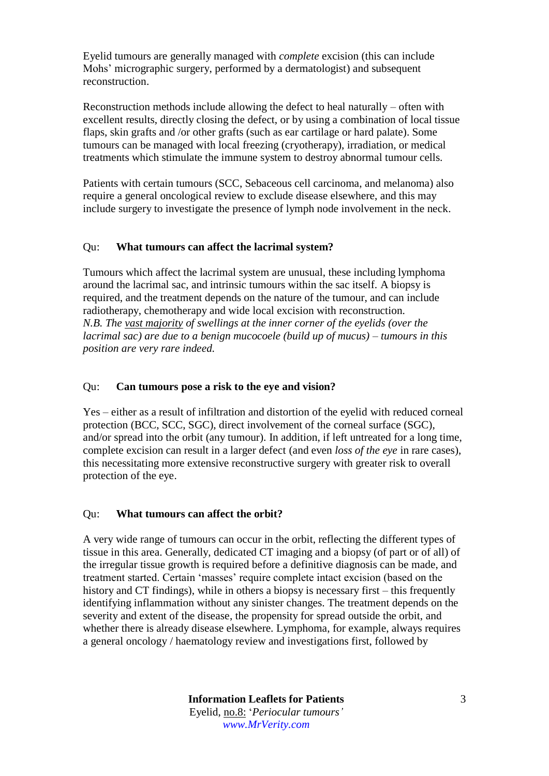Eyelid tumours are generally managed with *complete* excision (this can include Mohs' micrographic surgery, performed by a dermatologist) and subsequent reconstruction.

Reconstruction methods include allowing the defect to heal naturally – often with excellent results, directly closing the defect, or by using a combination of local tissue flaps, skin grafts and /or other grafts (such as ear cartilage or hard palate). Some tumours can be managed with local freezing (cryotherapy), irradiation, or medical treatments which stimulate the immune system to destroy abnormal tumour cells.

Patients with certain tumours (SCC, Sebaceous cell carcinoma, and melanoma) also require a general oncological review to exclude disease elsewhere, and this may include surgery to investigate the presence of lymph node involvement in the neck.

## Qu: **What tumours can affect the lacrimal system?**

Tumours which affect the lacrimal system are unusual, these including lymphoma around the lacrimal sac, and intrinsic tumours within the sac itself. A biopsy is required, and the treatment depends on the nature of the tumour, and can include radiotherapy, chemotherapy and wide local excision with reconstruction. *N.B. The vast majority of swellings at the inner corner of the eyelids (over the lacrimal sac) are due to a benign mucocoele (build up of mucus) – tumours in this position are very rare indeed.*

## Qu: **Can tumours pose a risk to the eye and vision?**

Yes – either as a result of infiltration and distortion of the eyelid with reduced corneal protection (BCC, SCC, SGC), direct involvement of the corneal surface (SGC), and/or spread into the orbit (any tumour). In addition, if left untreated for a long time, complete excision can result in a larger defect (and even *loss of the eye* in rare cases), this necessitating more extensive reconstructive surgery with greater risk to overall protection of the eye.

## Qu: **What tumours can affect the orbit?**

A very wide range of tumours can occur in the orbit, reflecting the different types of tissue in this area. Generally, dedicated CT imaging and a biopsy (of part or of all) of the irregular tissue growth is required before a definitive diagnosis can be made, and treatment started. Certain 'masses' require complete intact excision (based on the history and CT findings), while in others a biopsy is necessary first – this frequently identifying inflammation without any sinister changes. The treatment depends on the severity and extent of the disease, the propensity for spread outside the orbit, and whether there is already disease elsewhere. Lymphoma, for example, always requires a general oncology / haematology review and investigations first, followed by

> **Information Leaflets for Patients** Eyelid, no.8: '*Periocular tumours' www.MrVerity.com*